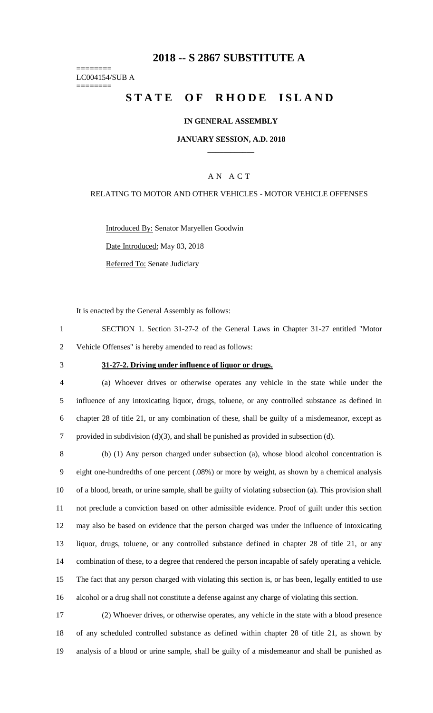# **-- S 2867 SUBSTITUTE A**

======== LC004154/SUB A ========

# STATE OF RHODE ISLAND

### **IN GENERAL ASSEMBLY**

#### **JANUARY SESSION, A.D. 2018 \_\_\_\_\_\_\_\_\_\_\_\_**

### A N A C T

### RELATING TO MOTOR AND OTHER VEHICLES - MOTOR VEHICLE OFFENSES

Introduced By: Senator Maryellen Goodwin

Date Introduced: May 03, 2018

Referred To: Senate Judiciary

It is enacted by the General Assembly as follows:

 SECTION 1. Section 31-27-2 of the General Laws in Chapter 31-27 entitled "Motor Vehicle Offenses" is hereby amended to read as follows:

#### **31-27-2. Driving under influence of liquor or drugs.**

 (a) Whoever drives or otherwise operates any vehicle in the state while under the influence of any intoxicating liquor, drugs, toluene, or any controlled substance as defined in chapter 28 of title 21, or any combination of these, shall be guilty of a misdemeanor, except as provided in subdivision (d)(3), and shall be punished as provided in subsection (d).

 (b) (1) Any person charged under subsection (a), whose blood alcohol concentration is eight one-hundredths of one percent (.08%) or more by weight, as shown by a chemical analysis of a blood, breath, or urine sample, shall be guilty of violating subsection (a). This provision shall not preclude a conviction based on other admissible evidence. Proof of guilt under this section may also be based on evidence that the person charged was under the influence of intoxicating liquor, drugs, toluene, or any controlled substance defined in chapter 28 of title 21, or any combination of these, to a degree that rendered the person incapable of safely operating a vehicle. The fact that any person charged with violating this section is, or has been, legally entitled to use alcohol or a drug shall not constitute a defense against any charge of violating this section.

 (2) Whoever drives, or otherwise operates, any vehicle in the state with a blood presence of any scheduled controlled substance as defined within chapter 28 of title 21, as shown by analysis of a blood or urine sample, shall be guilty of a misdemeanor and shall be punished as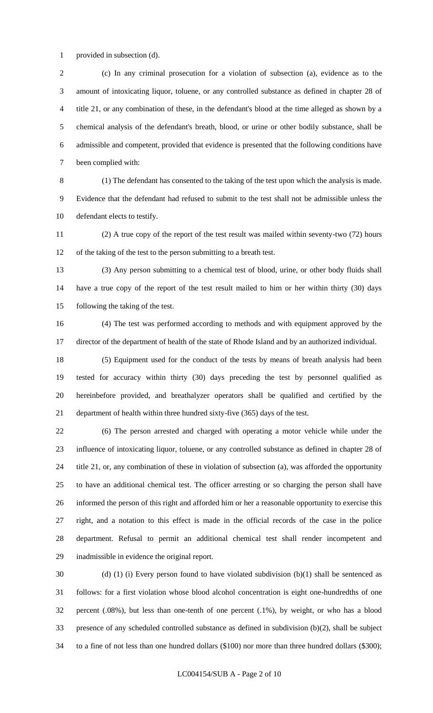provided in subsection (d).

 (c) In any criminal prosecution for a violation of subsection (a), evidence as to the amount of intoxicating liquor, toluene, or any controlled substance as defined in chapter 28 of title 21, or any combination of these, in the defendant's blood at the time alleged as shown by a chemical analysis of the defendant's breath, blood, or urine or other bodily substance, shall be admissible and competent, provided that evidence is presented that the following conditions have been complied with:

 (1) The defendant has consented to the taking of the test upon which the analysis is made. Evidence that the defendant had refused to submit to the test shall not be admissible unless the defendant elects to testify.

 (2) A true copy of the report of the test result was mailed within seventy-two (72) hours of the taking of the test to the person submitting to a breath test.

 (3) Any person submitting to a chemical test of blood, urine, or other body fluids shall have a true copy of the report of the test result mailed to him or her within thirty (30) days following the taking of the test.

 (4) The test was performed according to methods and with equipment approved by the director of the department of health of the state of Rhode Island and by an authorized individual.

 (5) Equipment used for the conduct of the tests by means of breath analysis had been tested for accuracy within thirty (30) days preceding the test by personnel qualified as hereinbefore provided, and breathalyzer operators shall be qualified and certified by the department of health within three hundred sixty-five (365) days of the test.

 (6) The person arrested and charged with operating a motor vehicle while under the influence of intoxicating liquor, toluene, or any controlled substance as defined in chapter 28 of title 21, or, any combination of these in violation of subsection (a), was afforded the opportunity to have an additional chemical test. The officer arresting or so charging the person shall have informed the person of this right and afforded him or her a reasonable opportunity to exercise this right, and a notation to this effect is made in the official records of the case in the police department. Refusal to permit an additional chemical test shall render incompetent and inadmissible in evidence the original report.

 (d) (1) (i) Every person found to have violated subdivision (b)(1) shall be sentenced as follows: for a first violation whose blood alcohol concentration is eight one-hundredths of one percent (.08%), but less than one-tenth of one percent (.1%), by weight, or who has a blood presence of any scheduled controlled substance as defined in subdivision (b)(2), shall be subject to a fine of not less than one hundred dollars (\$100) nor more than three hundred dollars (\$300);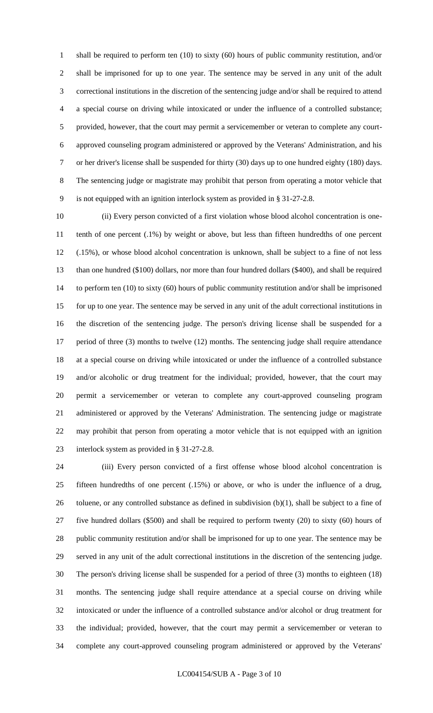shall be required to perform ten (10) to sixty (60) hours of public community restitution, and/or shall be imprisoned for up to one year. The sentence may be served in any unit of the adult correctional institutions in the discretion of the sentencing judge and/or shall be required to attend a special course on driving while intoxicated or under the influence of a controlled substance; provided, however, that the court may permit a servicemember or veteran to complete any court- approved counseling program administered or approved by the Veterans' Administration, and his or her driver's license shall be suspended for thirty (30) days up to one hundred eighty (180) days. The sentencing judge or magistrate may prohibit that person from operating a motor vehicle that is not equipped with an ignition interlock system as provided in § 31-27-2.8.

 (ii) Every person convicted of a first violation whose blood alcohol concentration is one- tenth of one percent (.1%) by weight or above, but less than fifteen hundredths of one percent (.15%), or whose blood alcohol concentration is unknown, shall be subject to a fine of not less than one hundred (\$100) dollars, nor more than four hundred dollars (\$400), and shall be required to perform ten (10) to sixty (60) hours of public community restitution and/or shall be imprisoned for up to one year. The sentence may be served in any unit of the adult correctional institutions in the discretion of the sentencing judge. The person's driving license shall be suspended for a period of three (3) months to twelve (12) months. The sentencing judge shall require attendance at a special course on driving while intoxicated or under the influence of a controlled substance and/or alcoholic or drug treatment for the individual; provided, however, that the court may permit a servicemember or veteran to complete any court-approved counseling program administered or approved by the Veterans' Administration. The sentencing judge or magistrate may prohibit that person from operating a motor vehicle that is not equipped with an ignition interlock system as provided in § 31-27-2.8.

 (iii) Every person convicted of a first offense whose blood alcohol concentration is fifteen hundredths of one percent (.15%) or above, or who is under the influence of a drug, 26 toluene, or any controlled substance as defined in subdivision  $(b)(1)$ , shall be subject to a fine of five hundred dollars (\$500) and shall be required to perform twenty (20) to sixty (60) hours of public community restitution and/or shall be imprisoned for up to one year. The sentence may be served in any unit of the adult correctional institutions in the discretion of the sentencing judge. The person's driving license shall be suspended for a period of three (3) months to eighteen (18) months. The sentencing judge shall require attendance at a special course on driving while intoxicated or under the influence of a controlled substance and/or alcohol or drug treatment for the individual; provided, however, that the court may permit a servicemember or veteran to complete any court-approved counseling program administered or approved by the Veterans'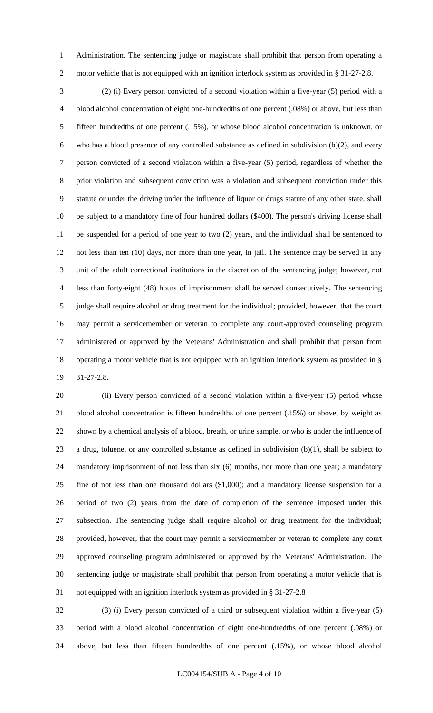Administration. The sentencing judge or magistrate shall prohibit that person from operating a 2 motor vehicle that is not equipped with an ignition interlock system as provided in § 31-27-2.8.

 (2) (i) Every person convicted of a second violation within a five-year (5) period with a blood alcohol concentration of eight one-hundredths of one percent (.08%) or above, but less than fifteen hundredths of one percent (.15%), or whose blood alcohol concentration is unknown, or who has a blood presence of any controlled substance as defined in subdivision (b)(2), and every person convicted of a second violation within a five-year (5) period, regardless of whether the prior violation and subsequent conviction was a violation and subsequent conviction under this statute or under the driving under the influence of liquor or drugs statute of any other state, shall be subject to a mandatory fine of four hundred dollars (\$400). The person's driving license shall be suspended for a period of one year to two (2) years, and the individual shall be sentenced to not less than ten (10) days, nor more than one year, in jail. The sentence may be served in any unit of the adult correctional institutions in the discretion of the sentencing judge; however, not less than forty-eight (48) hours of imprisonment shall be served consecutively. The sentencing judge shall require alcohol or drug treatment for the individual; provided, however, that the court may permit a servicemember or veteran to complete any court-approved counseling program administered or approved by the Veterans' Administration and shall prohibit that person from operating a motor vehicle that is not equipped with an ignition interlock system as provided in § 31-27-2.8.

20 (ii) Every person convicted of a second violation within a five-year (5) period whose blood alcohol concentration is fifteen hundredths of one percent (.15%) or above, by weight as shown by a chemical analysis of a blood, breath, or urine sample, or who is under the influence of 23 a drug, toluene, or any controlled substance as defined in subdivision  $(b)(1)$ , shall be subject to mandatory imprisonment of not less than six (6) months, nor more than one year; a mandatory fine of not less than one thousand dollars (\$1,000); and a mandatory license suspension for a period of two (2) years from the date of completion of the sentence imposed under this subsection. The sentencing judge shall require alcohol or drug treatment for the individual; provided, however, that the court may permit a servicemember or veteran to complete any court approved counseling program administered or approved by the Veterans' Administration. The sentencing judge or magistrate shall prohibit that person from operating a motor vehicle that is not equipped with an ignition interlock system as provided in § 31-27-2.8

 (3) (i) Every person convicted of a third or subsequent violation within a five-year (5) period with a blood alcohol concentration of eight one-hundredths of one percent (.08%) or above, but less than fifteen hundredths of one percent (.15%), or whose blood alcohol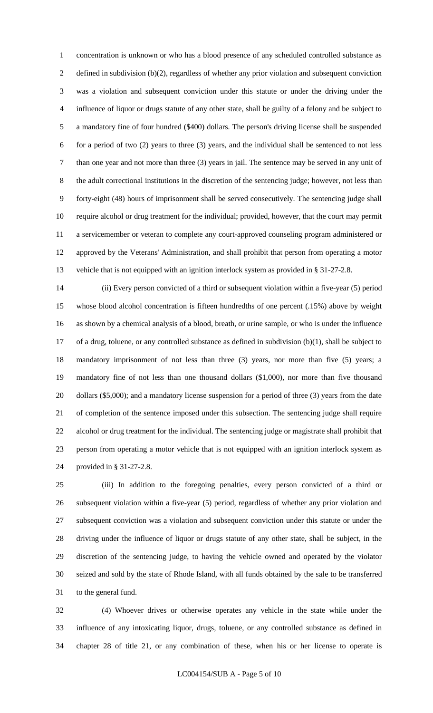concentration is unknown or who has a blood presence of any scheduled controlled substance as 2 defined in subdivision (b)(2), regardless of whether any prior violation and subsequent conviction was a violation and subsequent conviction under this statute or under the driving under the influence of liquor or drugs statute of any other state, shall be guilty of a felony and be subject to a mandatory fine of four hundred (\$400) dollars. The person's driving license shall be suspended for a period of two (2) years to three (3) years, and the individual shall be sentenced to not less than one year and not more than three (3) years in jail. The sentence may be served in any unit of the adult correctional institutions in the discretion of the sentencing judge; however, not less than forty-eight (48) hours of imprisonment shall be served consecutively. The sentencing judge shall require alcohol or drug treatment for the individual; provided, however, that the court may permit a servicemember or veteran to complete any court-approved counseling program administered or approved by the Veterans' Administration, and shall prohibit that person from operating a motor vehicle that is not equipped with an ignition interlock system as provided in § 31-27-2.8.

 (ii) Every person convicted of a third or subsequent violation within a five-year (5) period whose blood alcohol concentration is fifteen hundredths of one percent (.15%) above by weight as shown by a chemical analysis of a blood, breath, or urine sample, or who is under the influence of a drug, toluene, or any controlled substance as defined in subdivision (b)(1), shall be subject to mandatory imprisonment of not less than three (3) years, nor more than five (5) years; a mandatory fine of not less than one thousand dollars (\$1,000), nor more than five thousand dollars (\$5,000); and a mandatory license suspension for a period of three (3) years from the date of completion of the sentence imposed under this subsection. The sentencing judge shall require alcohol or drug treatment for the individual. The sentencing judge or magistrate shall prohibit that person from operating a motor vehicle that is not equipped with an ignition interlock system as provided in § 31-27-2.8.

 (iii) In addition to the foregoing penalties, every person convicted of a third or subsequent violation within a five-year (5) period, regardless of whether any prior violation and subsequent conviction was a violation and subsequent conviction under this statute or under the driving under the influence of liquor or drugs statute of any other state, shall be subject, in the discretion of the sentencing judge, to having the vehicle owned and operated by the violator seized and sold by the state of Rhode Island, with all funds obtained by the sale to be transferred to the general fund.

 (4) Whoever drives or otherwise operates any vehicle in the state while under the influence of any intoxicating liquor, drugs, toluene, or any controlled substance as defined in chapter 28 of title 21, or any combination of these, when his or her license to operate is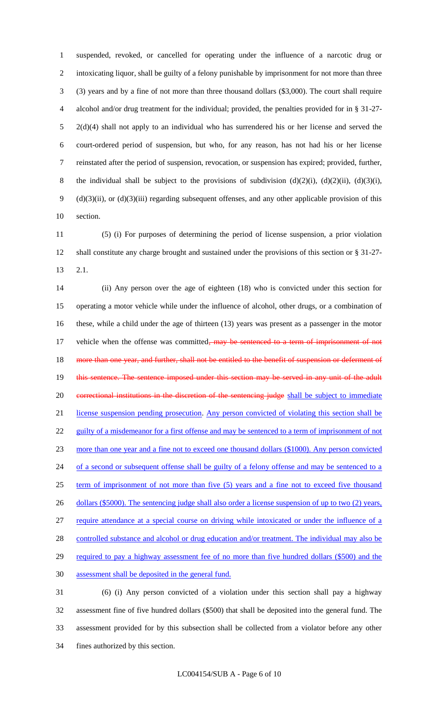suspended, revoked, or cancelled for operating under the influence of a narcotic drug or intoxicating liquor, shall be guilty of a felony punishable by imprisonment for not more than three (3) years and by a fine of not more than three thousand dollars (\$3,000). The court shall require alcohol and/or drug treatment for the individual; provided, the penalties provided for in § 31-27- 2(d)(4) shall not apply to an individual who has surrendered his or her license and served the court-ordered period of suspension, but who, for any reason, has not had his or her license reinstated after the period of suspension, revocation, or suspension has expired; provided, further, 8 the individual shall be subject to the provisions of subdivision  $(d)(2)(i)$ ,  $(d)(2)(ii)$ ,  $(d)(3)(i)$ , (d)(3)(ii), or (d)(3)(iii) regarding subsequent offenses, and any other applicable provision of this section.

 (5) (i) For purposes of determining the period of license suspension, a prior violation shall constitute any charge brought and sustained under the provisions of this section or § 31-27- 2.1.

 (ii) Any person over the age of eighteen (18) who is convicted under this section for operating a motor vehicle while under the influence of alcohol, other drugs, or a combination of these, while a child under the age of thirteen (13) years was present as a passenger in the motor 17 vehicle when the offense was committed, may be sentenced to a term of imprisonment of not 18 more than one year, and further, shall not be entitled to the benefit of suspension or deferment of 19 this sentence. The sentence imposed under this section may be served in any unit of the adult 20 correctional institutions in the discretion of the sentencing judge shall be subject to immediate license suspension pending prosecution. Any person convicted of violating this section shall be 22 guilty of a misdemeanor for a first offense and may be sentenced to a term of imprisonment of not more than one year and a fine not to exceed one thousand dollars (\$1000). Any person convicted 24 of a second or subsequent offense shall be guilty of a felony offense and may be sentenced to a term of imprisonment of not more than five (5) years and a fine not to exceed five thousand 26 dollars (\$5000). The sentencing judge shall also order a license suspension of up to two (2) years, require attendance at a special course on driving while intoxicated or under the influence of a 28 controlled substance and alcohol or drug education and/or treatment. The individual may also be 29 required to pay a highway assessment fee of no more than five hundred dollars (\$500) and the assessment shall be deposited in the general fund. (6) (i) Any person convicted of a violation under this section shall pay a highway assessment fine of five hundred dollars (\$500) that shall be deposited into the general fund. The

assessment provided for by this subsection shall be collected from a violator before any other

fines authorized by this section.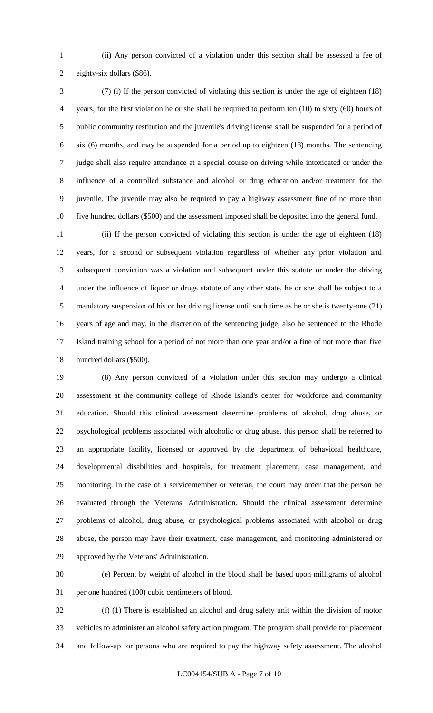(ii) Any person convicted of a violation under this section shall be assessed a fee of eighty-six dollars (\$86).

 (7) (i) If the person convicted of violating this section is under the age of eighteen (18) years, for the first violation he or she shall be required to perform ten (10) to sixty (60) hours of public community restitution and the juvenile's driving license shall be suspended for a period of six (6) months, and may be suspended for a period up to eighteen (18) months. The sentencing judge shall also require attendance at a special course on driving while intoxicated or under the influence of a controlled substance and alcohol or drug education and/or treatment for the juvenile. The juvenile may also be required to pay a highway assessment fine of no more than five hundred dollars (\$500) and the assessment imposed shall be deposited into the general fund.

 (ii) If the person convicted of violating this section is under the age of eighteen (18) years, for a second or subsequent violation regardless of whether any prior violation and subsequent conviction was a violation and subsequent under this statute or under the driving under the influence of liquor or drugs statute of any other state, he or she shall be subject to a mandatory suspension of his or her driving license until such time as he or she is twenty-one (21) years of age and may, in the discretion of the sentencing judge, also be sentenced to the Rhode Island training school for a period of not more than one year and/or a fine of not more than five hundred dollars (\$500).

 (8) Any person convicted of a violation under this section may undergo a clinical assessment at the community college of Rhode Island's center for workforce and community education. Should this clinical assessment determine problems of alcohol, drug abuse, or psychological problems associated with alcoholic or drug abuse, this person shall be referred to an appropriate facility, licensed or approved by the department of behavioral healthcare, developmental disabilities and hospitals, for treatment placement, case management, and monitoring. In the case of a servicemember or veteran, the court may order that the person be evaluated through the Veterans' Administration. Should the clinical assessment determine problems of alcohol, drug abuse, or psychological problems associated with alcohol or drug abuse, the person may have their treatment, case management, and monitoring administered or approved by the Veterans' Administration.

 (e) Percent by weight of alcohol in the blood shall be based upon milligrams of alcohol per one hundred (100) cubic centimeters of blood.

 (f) (1) There is established an alcohol and drug safety unit within the division of motor vehicles to administer an alcohol safety action program. The program shall provide for placement and follow-up for persons who are required to pay the highway safety assessment. The alcohol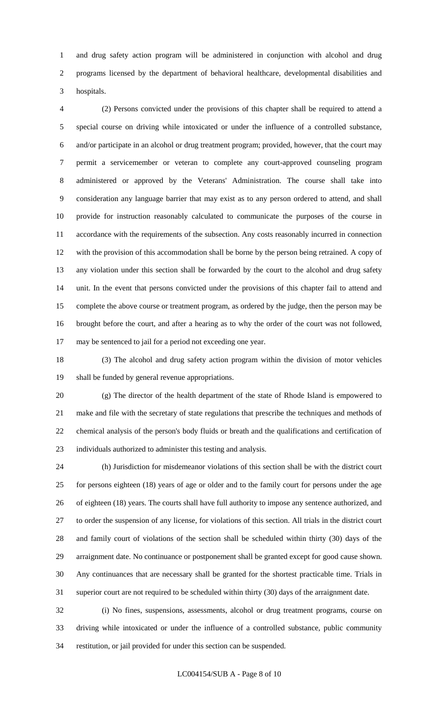and drug safety action program will be administered in conjunction with alcohol and drug programs licensed by the department of behavioral healthcare, developmental disabilities and hospitals.

 (2) Persons convicted under the provisions of this chapter shall be required to attend a special course on driving while intoxicated or under the influence of a controlled substance, and/or participate in an alcohol or drug treatment program; provided, however, that the court may permit a servicemember or veteran to complete any court-approved counseling program administered or approved by the Veterans' Administration. The course shall take into consideration any language barrier that may exist as to any person ordered to attend, and shall provide for instruction reasonably calculated to communicate the purposes of the course in accordance with the requirements of the subsection. Any costs reasonably incurred in connection with the provision of this accommodation shall be borne by the person being retrained. A copy of any violation under this section shall be forwarded by the court to the alcohol and drug safety unit. In the event that persons convicted under the provisions of this chapter fail to attend and complete the above course or treatment program, as ordered by the judge, then the person may be brought before the court, and after a hearing as to why the order of the court was not followed, may be sentenced to jail for a period not exceeding one year.

 (3) The alcohol and drug safety action program within the division of motor vehicles shall be funded by general revenue appropriations.

 (g) The director of the health department of the state of Rhode Island is empowered to make and file with the secretary of state regulations that prescribe the techniques and methods of chemical analysis of the person's body fluids or breath and the qualifications and certification of individuals authorized to administer this testing and analysis.

 (h) Jurisdiction for misdemeanor violations of this section shall be with the district court for persons eighteen (18) years of age or older and to the family court for persons under the age of eighteen (18) years. The courts shall have full authority to impose any sentence authorized, and to order the suspension of any license, for violations of this section. All trials in the district court and family court of violations of the section shall be scheduled within thirty (30) days of the arraignment date. No continuance or postponement shall be granted except for good cause shown. Any continuances that are necessary shall be granted for the shortest practicable time. Trials in superior court are not required to be scheduled within thirty (30) days of the arraignment date.

 (i) No fines, suspensions, assessments, alcohol or drug treatment programs, course on driving while intoxicated or under the influence of a controlled substance, public community restitution, or jail provided for under this section can be suspended.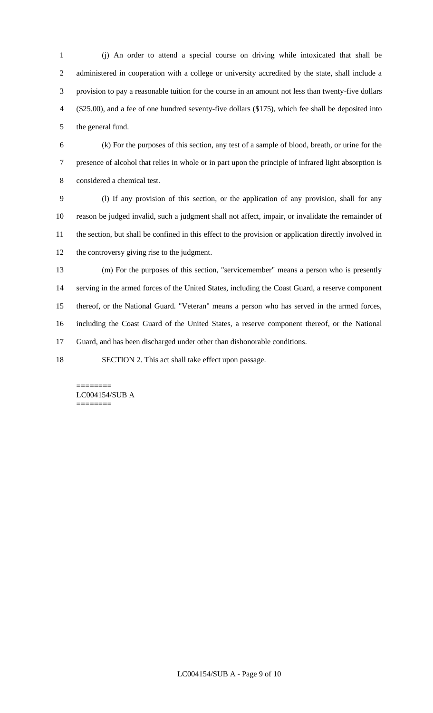(j) An order to attend a special course on driving while intoxicated that shall be administered in cooperation with a college or university accredited by the state, shall include a provision to pay a reasonable tuition for the course in an amount not less than twenty-five dollars (\$25.00), and a fee of one hundred seventy-five dollars (\$175), which fee shall be deposited into the general fund.

 (k) For the purposes of this section, any test of a sample of blood, breath, or urine for the presence of alcohol that relies in whole or in part upon the principle of infrared light absorption is considered a chemical test.

 (l) If any provision of this section, or the application of any provision, shall for any reason be judged invalid, such a judgment shall not affect, impair, or invalidate the remainder of the section, but shall be confined in this effect to the provision or application directly involved in the controversy giving rise to the judgment.

 (m) For the purposes of this section, "servicemember" means a person who is presently serving in the armed forces of the United States, including the Coast Guard, a reserve component thereof, or the National Guard. "Veteran" means a person who has served in the armed forces, including the Coast Guard of the United States, a reserve component thereof, or the National Guard, and has been discharged under other than dishonorable conditions.

SECTION 2. This act shall take effect upon passage.

======== LC004154/SUB A ========